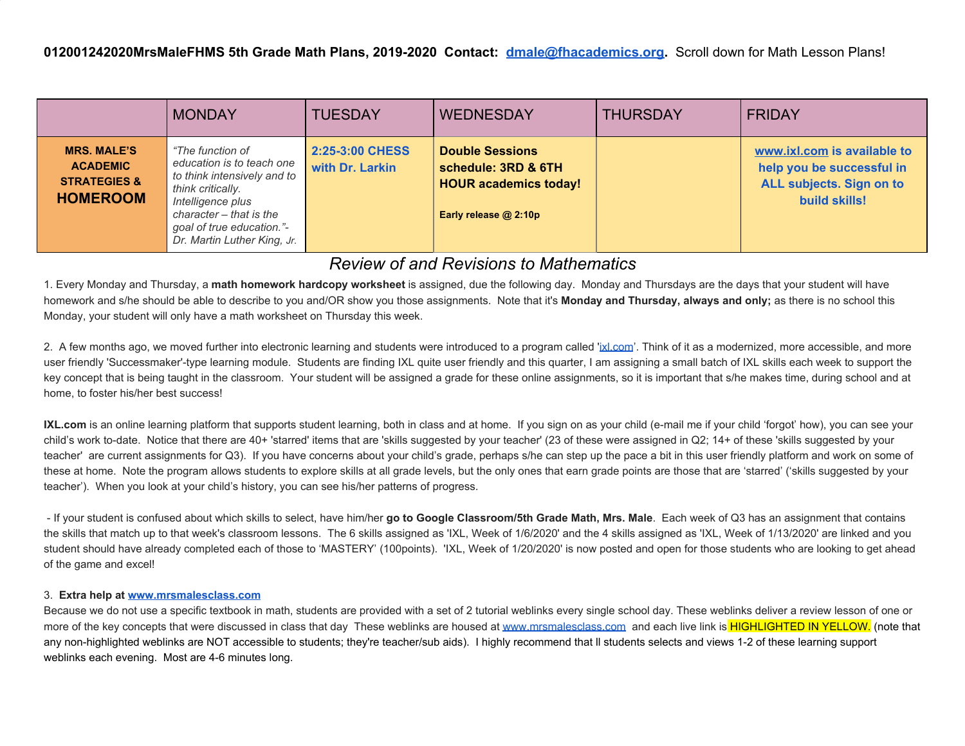|                                                                                     | <b>MONDAY</b>                                                                                                                                                                                                 | <b>TUESDAY</b>                     | <b>WEDNESDAY</b>                                                                                       | <b>THURSDAY</b> | <b>FRIDAY</b>                                                                                         |
|-------------------------------------------------------------------------------------|---------------------------------------------------------------------------------------------------------------------------------------------------------------------------------------------------------------|------------------------------------|--------------------------------------------------------------------------------------------------------|-----------------|-------------------------------------------------------------------------------------------------------|
| <b>MRS. MALE'S</b><br><b>ACADEMIC</b><br><b>STRATEGIES &amp;</b><br><b>HOMEROOM</b> | "The function of<br>education is to teach one<br>to think intensively and to<br>think critically.<br>Intelligence plus<br>character – that is the<br>goal of true education."-<br>Dr. Martin Luther King, Jr. | 2:25-3:00 CHESS<br>with Dr. Larkin | <b>Double Sessions</b><br>schedule: 3RD & 6TH<br><b>HOUR academics today!</b><br>Early release @ 2:10p |                 | www.ixl.com is available to<br>help you be successful in<br>ALL subjects. Sign on to<br>build skills! |

## *Review of and Revisions to Mathematics*

1. Every Monday and Thursday, a **math homework hardcopy worksheet** is assigned, due the following day. Monday and Thursdays are the days that your student will have homework and s/he should be able to describe to you and/OR show you those assignments. Note that it's **Monday and Thursday, always and only;** as there is no school this Monday, your student will only have a math worksheet on Thursday this week.

2. A few months ago, we moved further into electronic learning and students were introduced to a program called '[ixl.com'](http://ixl.com/). Think of it as a modernized, more accessible, and more user friendly 'Successmaker'-type learning module. Students are finding IXL quite user friendly and this quarter, I am assigning a small batch of IXL skills each week to support the key concept that is being taught in the classroom. Your student will be assigned a grade for these online assignments, so it is important that s/he makes time, during school and at home, to foster his/her best success!

**IXL.com** is an online learning platform that supports student learning, both in class and at home. If you sign on as your child (e-mail me if your child 'forgot' how), you can see your child's work to-date. Notice that there are 40+ 'starred' items that are 'skills suggested by your teacher' (23 of these were assigned in Q2; 14+ of these 'skills suggested by your teacher' are current assignments for Q3). If you have concerns about your child's grade, perhaps s/he can step up the pace a bit in this user friendly platform and work on some of these at home. Note the program allows students to explore skills at all grade levels, but the only ones that earn grade points are those that are 'starred' ('skills suggested by your teacher'). When you look at your child's history, you can see his/her patterns of progress.

 - If your student is confused about which skills to select, have him/her **go to Google Classroom/5th Grade Math, Mrs. Male**. Each week of Q3 has an assignment that contains the skills that match up to that week's classroom lessons. The 6 skills assigned as 'IXL, Week of 1/6/2020' and the 4 skills assigned as 'IXL, Week of 1/13/2020' are linked and you student should have already completed each of those to 'MASTERY' (100points). 'IXL, Week of 1/20/2020' is now posted and open for those students who are looking to get ahead of the game and excel!

## 3. **Extra help at [www.mrsmalesclass.com](http://www.mrsmalesclass.com/)**

Because we do not use a specific textbook in math, students are provided with a set of 2 tutorial weblinks every single school day. These weblinks deliver a review lesson of one or more of the key concepts that were discussed in class that day These weblinks are housed at [www.mrsmalesclass.com](http://www.mrsmalesclass.com/) and each live link is HIGHLIGHTED IN YELLOW. (note that any non-highlighted weblinks are NOT accessible to students; they're teacher/sub aids). I highly recommend that ll students selects and views 1-2 of these learning support weblinks each evening. Most are 4-6 minutes long.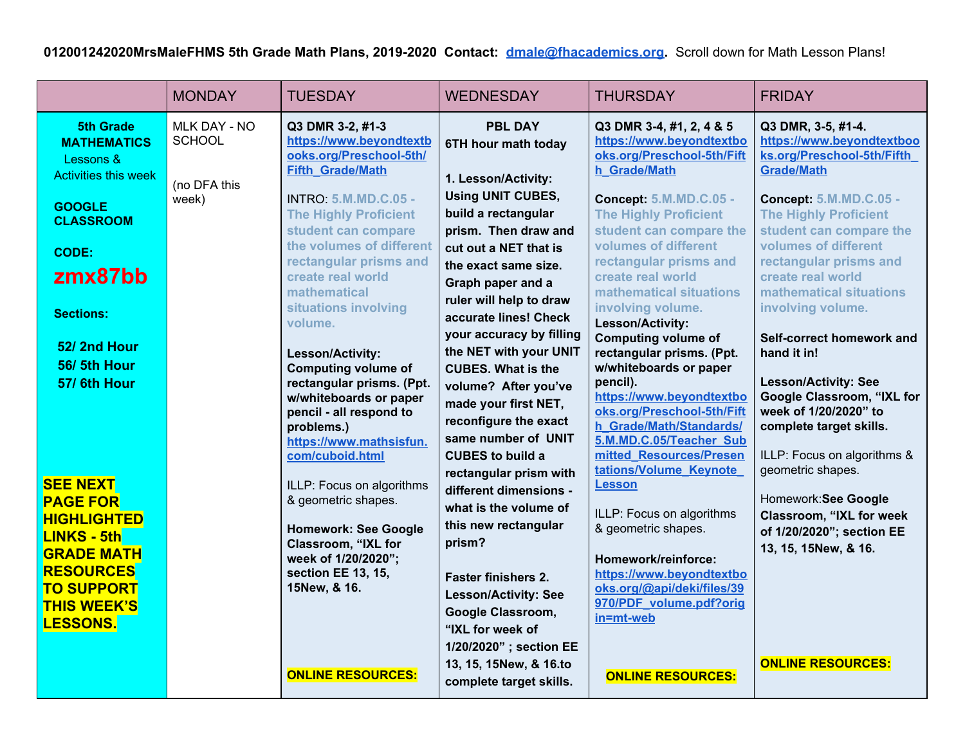|                                                                                    | <b>MONDAY</b>                 | <b>TUESDAY</b>                                                                                                 | <b>WEDNESDAY</b>                                                                                   | <b>THURSDAY</b>                                                                                                  | <b>FRIDAY</b>                                                                                                    |
|------------------------------------------------------------------------------------|-------------------------------|----------------------------------------------------------------------------------------------------------------|----------------------------------------------------------------------------------------------------|------------------------------------------------------------------------------------------------------------------|------------------------------------------------------------------------------------------------------------------|
| <b>5th Grade</b><br><b>MATHEMATICS</b><br>Lessons &<br><b>Activities this week</b> | MLK DAY - NO<br><b>SCHOOL</b> | Q3 DMR 3-2, #1-3<br>https://www.beyondtextb<br>ooks.org/Preschool-5th/<br><b>Fifth Grade/Math</b>              | <b>PBL DAY</b><br>6TH hour math today<br>1. Lesson/Activity:                                       | Q3 DMR 3-4, #1, 2, 4 & 5<br>https://www.beyondtextbo<br>oks.org/Preschool-5th/Fift<br>h Grade/Math               | Q3 DMR, 3-5, #1-4.<br>https://www.beyondtextboo<br>ks.org/Preschool-5th/Fifth<br><b>Grade/Math</b>               |
| <b>GOOGLE</b><br><b>CLASSROOM</b><br><b>CODE:</b>                                  | (no DFA this<br>week)         | <b>INTRO: 5.M.MD.C.05 -</b><br><b>The Highly Proficient</b><br>student can compare<br>the volumes of different | <b>Using UNIT CUBES,</b><br>build a rectangular<br>prism. Then draw and<br>cut out a NET that is   | <b>Concept: 5.M.MD.C.05 -</b><br><b>The Highly Proficient</b><br>student can compare the<br>volumes of different | <b>Concept: 5.M.MD.C.05 -</b><br><b>The Highly Proficient</b><br>student can compare the<br>volumes of different |
| zmx87bb                                                                            |                               | rectangular prisms and<br>create real world<br>mathematical<br>situations involving                            | the exact same size.<br>Graph paper and a<br>ruler will help to draw                               | rectangular prisms and<br>create real world<br>mathematical situations<br>involving volume.                      | rectangular prisms and<br>create real world<br>mathematical situations<br>involving volume.                      |
| <b>Sections:</b><br>52/2nd Hour                                                    |                               | volume.<br>Lesson/Activity:                                                                                    | accurate lines! Check<br>your accuracy by filling<br>the NET with your UNIT                        | Lesson/Activity:<br><b>Computing volume of</b><br>rectangular prisms. (Ppt.                                      | Self-correct homework and<br>hand it in!                                                                         |
| 56/5th Hour<br>57/6th Hour                                                         |                               | <b>Computing volume of</b><br>rectangular prisms. (Ppt.<br>w/whiteboards or paper<br>pencil - all respond to   | <b>CUBES. What is the</b><br>volume? After you've<br>made your first NET,<br>reconfigure the exact | w/whiteboards or paper<br>pencil).<br>https://www.beyondtextbo<br>oks.org/Preschool-5th/Fift                     | <b>Lesson/Activity: See</b><br>Google Classroom, "IXL for<br>week of 1/20/2020" to                               |
|                                                                                    |                               | problems.)<br>https://www.mathsisfun.<br>com/cuboid.html                                                       | same number of UNIT<br><b>CUBES to build a</b><br>rectangular prism with                           | h Grade/Math/Standards/<br>5.M.MD.C.05/Teacher Sub<br>mitted Resources/Presen<br>tations/Volume Keynote          | complete target skills.<br>ILLP: Focus on algorithms &<br>geometric shapes.                                      |
| <b>SEE NEXT</b><br><b>PAGE FOR</b><br><b>HIGHLIGHTED</b><br><b>LINKS - 5th</b>     |                               | ILLP: Focus on algorithms<br>& geometric shapes.<br><b>Homework: See Google</b>                                | different dimensions -<br>what is the volume of<br>this new rectangular                            | <b>Lesson</b><br>ILLP: Focus on algorithms<br>& geometric shapes.                                                | Homework: See Google<br>Classroom, "IXL for week<br>of 1/20/2020"; section EE                                    |
| <b>GRADE MATH</b><br><b>RESOURCES</b><br><b>TO SUPPORT</b>                         |                               | Classroom, "IXL for<br>week of 1/20/2020";<br>section EE 13, 15,<br>15New, & 16.                               | prism?<br><b>Faster finishers 2.</b><br><b>Lesson/Activity: See</b>                                | Homework/reinforce:<br>https://www.beyondtextbo<br>oks.org/@api/deki/files/39                                    | 13, 15, 15New, & 16.                                                                                             |
| <b>THIS WEEK'S</b><br><b>LESSONS.</b>                                              |                               |                                                                                                                | Google Classroom,<br>"IXL for week of<br>1/20/2020" ; section EE                                   | 970/PDF volume.pdf?orig<br>in=mt-web                                                                             |                                                                                                                  |
|                                                                                    |                               | <b>ONLINE RESOURCES:</b>                                                                                       | 13, 15, 15New, & 16.to<br>complete target skills.                                                  | <b>ONLINE RESOURCES:</b>                                                                                         | <b>ONLINE RESOURCES:</b>                                                                                         |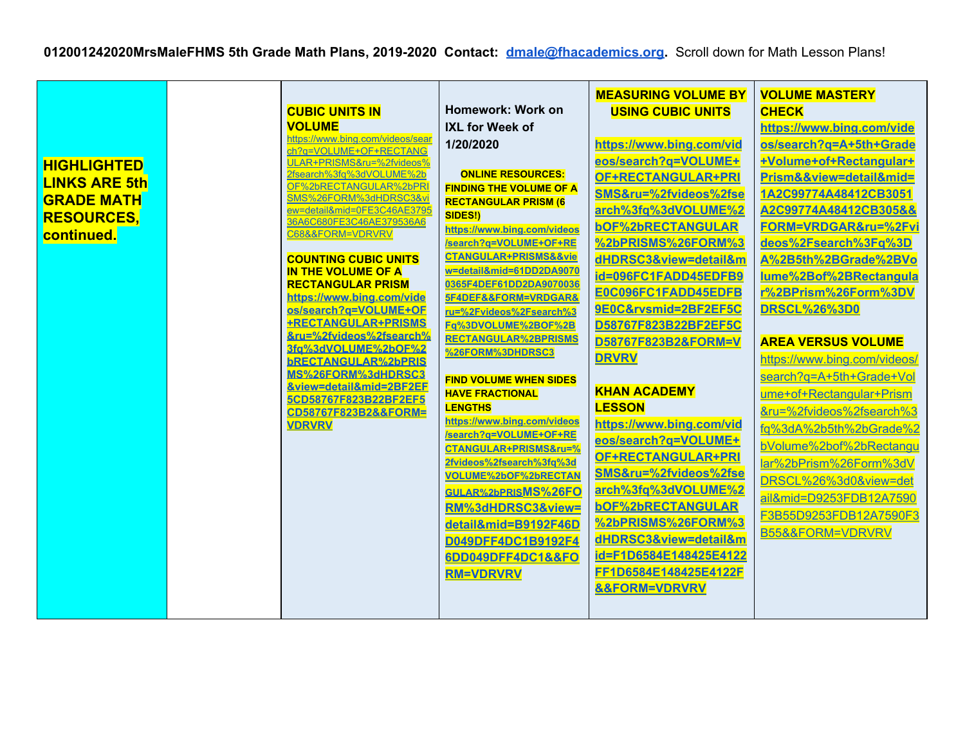|                      |                                                       |                                                               | <b>MEASURING VOLUME BY</b>   | <b>VOLUME MASTERY</b>        |
|----------------------|-------------------------------------------------------|---------------------------------------------------------------|------------------------------|------------------------------|
|                      | <b>CUBIC UNITS IN</b>                                 | Homework: Work on                                             | <b>USING CUBIC UNITS</b>     | <b>CHECK</b>                 |
|                      | <b>VOLUME</b><br>https://www.bing.com/videos/sear     | <b>IXL for Week of</b>                                        |                              | https://www.bing.com/vide    |
|                      | ch?q=VOLUME+OF+RECTANG                                | 1/20/2020                                                     | https://www.bing.com/vid     | os/search?q=A+5th+Grade      |
| <b>HIGHLIGHTED</b>   | ULAR+PRISMS&ru=%2fvideos%                             |                                                               | eos/search?q=VOLUME+         | +Volume+of+Rectangular+      |
| <b>LINKS ARE 5th</b> | 2fsearch%3fq%3dVOLUME%2b                              | <b>ONLINE RESOURCES:</b>                                      | OF+RECTANGULAR+PRI           | Prism&&view=detail∣=         |
| <b>GRADE MATH</b>    | OF%2bRECTANGULAR%2bPRI<br>SMS%26FORM%3dHDRSC3&v       | <b>FINDING THE VOLUME OF A</b><br><b>RECTANGULAR PRISM (6</b> | SMS&ru=%2fvideos%2fse        | 1A2C99774A48412CB3051        |
| <b>RESOURCES.</b>    | ew=detail∣=0FE3C46AE3795                              | <b>SIDES!)</b>                                                | arch%3fq%3dVOLUME%2          | A2C99774A48412CB305&&        |
|                      | 36A6C680FE3C46AE379536A6<br>C68&&FORM=VDRVRV          | https://www.bing.com/videos                                   | <b>bOF%2bRECTANGULAR</b>     | FORM=VRDGAR&ru=%2Fvi         |
| continued.           |                                                       | /search?q=VOLUME+OF+RE                                        | %2bPRISMS%26FORM%3           | deos%2Fsearch%3Fq%3D         |
|                      | <b>COUNTING CUBIC UNITS</b>                           | CTANGULAR+PRISMS&&vie                                         | dHDRSC3&view=detail&m        | A%2B5th%2BGrade%2BVo         |
|                      | <b>IN THE VOLUME OF A</b>                             | w=detail∣=61DD2DA9070                                         | id=096FC1FADD45EDFB9         | lume%2Bof%2BRectangula       |
|                      | <b>RECTANGULAR PRISM</b><br>https://www.bing.com/vide | 0365F4DEF61DD2DA9070036<br>5F4DEF&&FORM=VRDGAR&               | E0C096FC1FADD45EDFB          | r%2BPrism%26Form%3DV         |
|                      | os/search?g=VOLUME+OF                                 | ru=%2Fvideos%2Fsearch%3                                       | 9E0C&rvsmid=2BF2EF5C         | <b>DRSCL%26%3D0</b>          |
|                      | <b>+RECTANGULAR+PRISMS</b>                            | Fq%3DVOLUME%2BOF%2B                                           | D58767F823B22BF2EF5C         |                              |
|                      | &ru=%2fvideos%2fsearch%<br>3fa%3dVOLUME%2bOF%2        | <b>RECTANGULAR%2BPRISMS</b>                                   | D58767F823B2&FORM=V          | <b>AREA VERSUS VOLUME</b>    |
|                      | <b>bRECTANGULAR%2bPRIS</b>                            | %26FORM%3DHDRSC3                                              | <b>DRVRV</b>                 | https://www.bing.com/videos/ |
|                      | MS%26FORM%3dHDRSC3                                    | <b>FIND VOLUME WHEN SIDES</b>                                 |                              | search?q=A+5th+Grade+Vol     |
|                      | &view=detail∣=2BF2EF                                  | <b>HAVE FRACTIONAL</b>                                        | <b>KHAN ACADEMY</b>          | ume+of+Rectangular+Prism     |
|                      | 5CD58767F823B22BF2EF5<br>CD58767F823B2&&FORM=         | <b>LENGTHS</b>                                                | <b>LESSON</b>                | &ru=%2fvideos%2fsearch%3     |
|                      | <b>VDRVRV</b>                                         | https://www.bing.com/videos                                   | https://www.bing.com/vid     | fq%3dA%2b5th%2bGrade%2       |
|                      |                                                       | /search?q=VOLUME+OF+RE<br>CTANGULAR+PRISMS&ru=%               | eos/search?q=VOLUME+         | bVolume%2bof%2bRectangu      |
|                      |                                                       | 2fvideos%2fsearch%3fq%3d                                      | OF+RECTANGULAR+PRI           | lar%2bPrism%26Form%3dV       |
|                      |                                                       | VOLUME%2bOF%2bRECTAN                                          | SMS&ru=%2fvideos%2fse        | DRSCL%26%3d0&view=det        |
|                      |                                                       | GULAR%2bPRISMS%26FO                                           | arch%3fq%3dVOLUME%2          |                              |
|                      |                                                       | RM%3dHDRSC3&view=                                             | <b>bOF%2bRECTANGULAR</b>     | ail∣=D9253FDB12A7590         |
|                      |                                                       | detail∣=B9192F46D                                             | %2bPRISMS%26FORM%3           | F3B55D9253FDB12A7590F3       |
|                      |                                                       | D049DFF4DC1B9192F4                                            | dHDRSC3&view=detail&m        | B55&&FORM=VDRVRV             |
|                      |                                                       | 6DD049DFF4DC1&&FO                                             | id=F1D6584E148425E4122       |                              |
|                      |                                                       | <b>RM=VDRVRV</b>                                              | FF1D6584E148425E4122F        |                              |
|                      |                                                       |                                                               | <b>&amp;&amp;FORM=VDRVRV</b> |                              |
|                      |                                                       |                                                               |                              |                              |
|                      |                                                       |                                                               |                              |                              |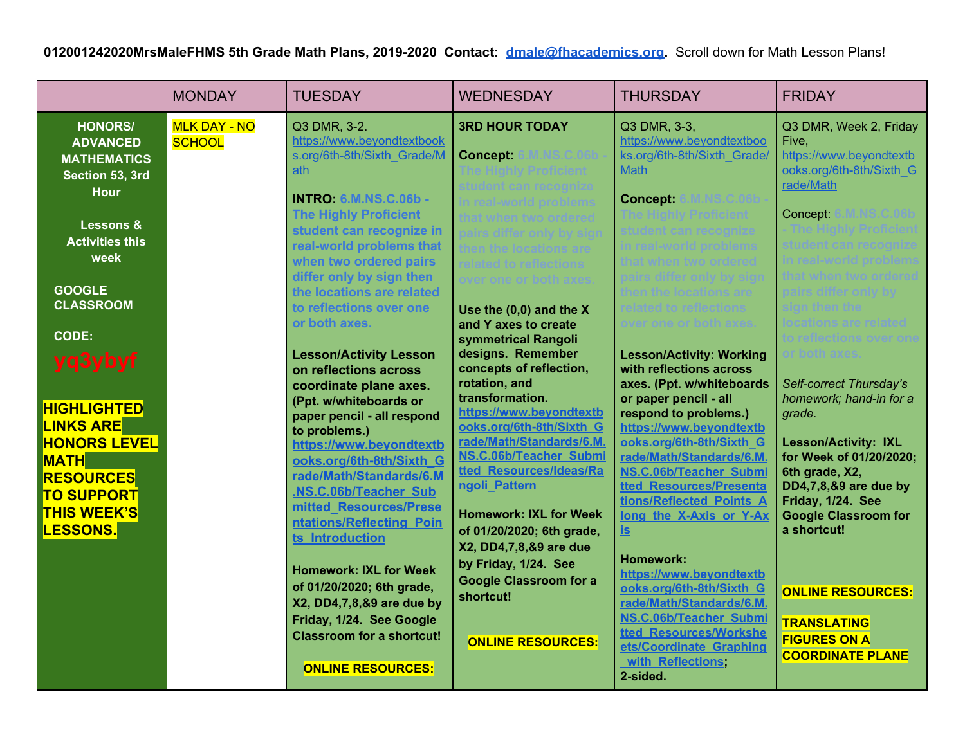|                                                                                                                                                                                                                                                                                                                                                                            | <b>MONDAY</b>                        | <b>TUESDAY</b>                                                                                                                                                                                                                                                                                                                                                                                                                                                                                                                                                                                                                                                                                                                                                                                                                                                                        | <b>WEDNESDAY</b>                                                                                                                                                                                                                                                                                                                                                                                                                                                                                                                                                   | <b>THURSDAY</b>                                                                                                                                                                                                                                                                                                                                                                                                                                                                                                                                                                                                                                                                                                                   | <b>FRIDAY</b>                                                                                                                                                                                                                                                                                                                                                                                                                                               |
|----------------------------------------------------------------------------------------------------------------------------------------------------------------------------------------------------------------------------------------------------------------------------------------------------------------------------------------------------------------------------|--------------------------------------|---------------------------------------------------------------------------------------------------------------------------------------------------------------------------------------------------------------------------------------------------------------------------------------------------------------------------------------------------------------------------------------------------------------------------------------------------------------------------------------------------------------------------------------------------------------------------------------------------------------------------------------------------------------------------------------------------------------------------------------------------------------------------------------------------------------------------------------------------------------------------------------|--------------------------------------------------------------------------------------------------------------------------------------------------------------------------------------------------------------------------------------------------------------------------------------------------------------------------------------------------------------------------------------------------------------------------------------------------------------------------------------------------------------------------------------------------------------------|-----------------------------------------------------------------------------------------------------------------------------------------------------------------------------------------------------------------------------------------------------------------------------------------------------------------------------------------------------------------------------------------------------------------------------------------------------------------------------------------------------------------------------------------------------------------------------------------------------------------------------------------------------------------------------------------------------------------------------------|-------------------------------------------------------------------------------------------------------------------------------------------------------------------------------------------------------------------------------------------------------------------------------------------------------------------------------------------------------------------------------------------------------------------------------------------------------------|
| <b>HONORS/</b><br><b>ADVANCED</b><br><b>MATHEMATICS</b><br>Section 53, 3rd<br><b>Hour</b><br>Lessons &<br><b>Activities this</b><br>week<br><b>GOOGLE</b><br><b>CLASSROOM</b><br><b>CODE:</b><br>yq3ybyf<br><b>HIGHLIGHTED</b><br><b>LINKS ARE</b><br><b>HONORS LEVEL</b><br><b>MATH</b><br><b>RESOURCES</b><br><b>TO SUPPORT</b><br><b>THIS WEEK'S</b><br><b>LESSONS.</b> | <b>MLK DAY - NO</b><br><b>SCHOOL</b> | Q3 DMR, 3-2.<br>https://www.beyondtextbook<br>s.org/6th-8th/Sixth Grade/M<br>ath<br><b>INTRO: 6.M.NS.C.06b -</b><br><b>The Highly Proficient</b><br>student can recognize in<br>real-world problems that<br>when two ordered pairs<br>differ only by sign then<br>the locations are related<br>to reflections over one<br>or both axes.<br><b>Lesson/Activity Lesson</b><br>on reflections across<br>coordinate plane axes.<br>(Ppt. w/whiteboards or<br>paper pencil - all respond<br>to problems.)<br>https://www.beyondtextb<br>ooks.org/6th-8th/Sixth G<br>rade/Math/Standards/6.M<br><b>NS.C.06b/Teacher Sub</b><br>mitted Resources/Prese<br>ntations/Reflecting Poin<br>ts Introduction<br><b>Homework: IXL for Week</b><br>of 01/20/2020; 6th grade,<br>X2, DD4,7,8,&9 are due by<br>Friday, 1/24. See Google<br><b>Classroom for a shortcut!</b><br><b>ONLINE RESOURCES:</b> | <b>3RD HOUR TODAY</b><br><b>Concept:</b><br>Use the $(0,0)$ and the X<br>and Y axes to create<br>symmetrical Rangoli<br>designs. Remember<br>concepts of reflection,<br>rotation, and<br>transformation.<br>https://www.beyondtextb<br>ooks.org/6th-8th/Sixth G<br>rade/Math/Standards/6.M.<br><b>NS.C.06b/Teacher Submi</b><br>tted Resources/Ideas/Ra<br>ngoli Pattern<br><b>Homework: IXL for Week</b><br>of 01/20/2020; 6th grade,<br>X2, DD4,7,8,&9 are due<br>by Friday, 1/24. See<br><b>Google Classroom for a</b><br>shortcut!<br><b>ONLINE RESOURCES:</b> | Q3 DMR, 3-3,<br>https://www.beyondtextboo<br>ks.org/6th-8th/Sixth Grade/<br><b>Math</b><br><b>Concept:</b><br>nver one or both axes<br><b>Lesson/Activity: Working</b><br>with reflections across<br>axes. (Ppt. w/whiteboards<br>or paper pencil - all<br>respond to problems.)<br>https://www.beyondtextb<br>ooks.org/6th-8th/Sixth G<br>rade/Math/Standards/6.M.<br><b>NS.C.06b/Teacher Submi</b><br>tted Resources/Presenta<br>tions/Reflected Points A<br>long the X-Axis or Y-Ax<br><u>is</u><br><b>Homework:</b><br>https://www.beyondtextb<br>ooks.org/6th-8th/Sixth G<br>rade/Math/Standards/6.M.<br><b>NS.C.06b/Teacher Submi</b><br>tted Resources/Workshe<br>ets/Coordinate Graphing<br>with Reflections,<br>2-sided. | Q3 DMR, Week 2, Friday<br>Five,<br>https://www.beyondtextb<br>ooks.org/6th-8th/Sixth G<br>rade/Math<br>Concept:<br>Self-correct Thursday's<br>homework; hand-in for a<br>grade.<br><b>Lesson/Activity: IXL</b><br>for Week of 01/20/2020;<br>6th grade, X2,<br>DD4,7,8,&9 are due by<br>Friday, 1/24. See<br><b>Google Classroom for</b><br>a shortcut!<br><b>ONLINE RESOURCES:</b><br><b>TRANSLATING</b><br><b>FIGURES ON A</b><br><b>COORDINATE PLANE</b> |